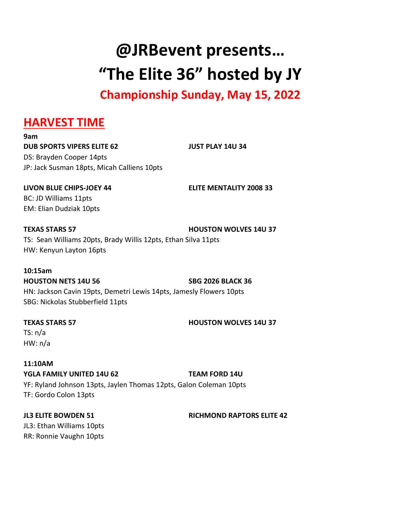**@JRBevent presents… "The Elite 36" hosted by JY**

**Championship Sunday, May 15, 2022**

### **HARVEST TIME**

**9am DUB SPORTS VIPERS ELITE 62 JUST PLAY 14U 34** DS: Brayden Cooper 14pts JP: Jack Susman 18pts, Micah Calliens 10pts

**LIVON BLUE CHIPS-JOEY 44 ELITE MENTALITY 2008 33** BC: JD Williams 11pts EM: Elian Dudziak 10pts

**TEXAS STARS 57 HOUSTON WOLVES 14U 37** TS: Sean Williams 20pts, Brady Willis 12pts, Ethan Silva 11pts HW: Kenyun Layton 16pts

# **10:15am**

**HOUSTON NETS 14U 56 SBG 2026 BLACK 36**

HN: Jackson Cavin 19pts, Demetri Lewis 14pts, Jamesly Flowers 10pts SBG: Nickolas Stubberfield 11pts

### **TEXAS STARS 57 HOUSTON WOLVES 14U 37**

TS: n/a HW: n/a

**11:10AM YGLA FAMILY UNITED 14U 62 TEAM FORD 14U** YF: Ryland Johnson 13pts, Jaylen Thomas 12pts, Galon Coleman 10pts TF: Gordo Colon 13pts

**JL3 ELITE BOWDEN 51 RICHMOND RAPTORS ELITE 42** JL3: Ethan Williams 10pts RR: Ronnie Vaughn 10pts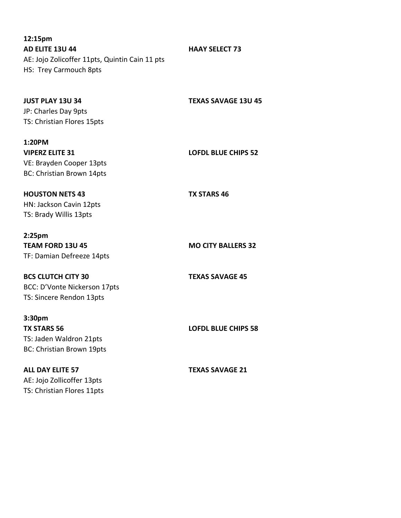**12:15pm AD ELITE 13U 44 HAAY SELECT 73** AE: Jojo Zolicoffer 11pts, Quintin Cain 11 pts HS: Trey Carmouch 8pts

| <b>JUST PLAY 13U 34</b><br>JP: Charles Day 9pts<br>TS: Christian Flores 15pts         | <b>TEXAS SAVAGE 13U 45</b> |
|---------------------------------------------------------------------------------------|----------------------------|
| 1:20PM<br><b>VIPERZ ELITE 31</b>                                                      | <b>LOFDL BLUE CHIPS 52</b> |
| VE: Brayden Cooper 13pts<br>BC: Christian Brown 14pts                                 |                            |
| <b>HOUSTON NETS 43</b><br>HN: Jackson Cavin 12pts<br>TS: Brady Willis 13pts           | <b>TX STARS 46</b>         |
| 2:25 <sub>pm</sub>                                                                    |                            |
| <b>TEAM FORD 13U 45</b><br>TF: Damian Defreeze 14pts                                  | <b>MO CITY BALLERS 32</b>  |
| <b>BCS CLUTCH CITY 30</b><br>BCC: D'Vonte Nickerson 17pts<br>TS: Sincere Rendon 13pts | <b>TEXAS SAVAGE 45</b>     |
| 3:30pm                                                                                |                            |
| <b>TX STARS 56</b><br>TS: Jaden Waldron 21pts<br>BC: Christian Brown 19pts            | <b>LOFDL BLUE CHIPS 58</b> |
| <b>ALL DAY ELITE 57</b><br>AE: Jojo Zollicoffer 13pts<br>TS: Christian Flores 11pts   | <b>TEXAS SAVAGE 21</b>     |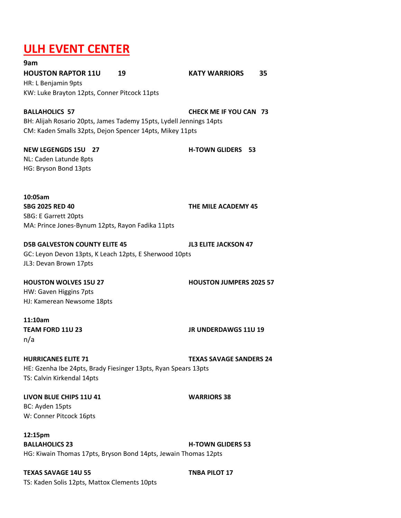## **ULH EVENT CENTER**

**9am HOUSTON RAPTOR 11U 19 KATY WARRIORS 35** HR: L Benjamin 9pts KW: Luke Brayton 12pts, Conner Pitcock 11pts

**BALLAHOLICS 57 CHECK ME IF YOU CAN 73** BH: Alijah Rosario 20pts, James Tademy 15pts, Lydell Jennings 14pts CM: Kaden Smalls 32pts, Dejon Spencer 14pts, Mikey 11pts

**NEW LEGENGDS 15U 27 H-TOWN GLIDERS 53** NL: Caden Latunde 8pts HG: Bryson Bond 13pts

**10:05am SBG 2025 RED 40 THE MILE ACADEMY 45** SBG: E Garrett 20pts MA: Prince Jones-Bynum 12pts, Rayon Fadika 11pts

**D5B GALVESTON COUNTY ELITE 45 JL3 ELITE JACKSON 47**

GC: Leyon Devon 13pts, K Leach 12pts, E Sherwood 10pts JL3: Devan Brown 17pts

**HOUSTON WOLVES 15U 27 HOUSTON JUMPERS 2025 57**

HW: Gaven Higgins 7pts HJ: Kamerean Newsome 18pts

**11:10am TEAM FORD 11U 23 JR UNDERDAWGS 11U 19** n/a

**HURRICANES ELITE 71 TEXAS SAVAGE SANDERS 24** HE: Gzenha Ibe 24pts, Brady Fiesinger 13pts, Ryan Spears 13pts TS: Calvin Kirkendal 14pts

**LIVON BLUE CHIPS 11U 41 WARRIORS 38** BC: Ayden 15pts W: Conner Pitcock 16pts

**12:15pm BALLAHOLICS 23 H-TOWN GLIDERS 53** HG: Kiwain Thomas 17pts, Bryson Bond 14pts, Jewain Thomas 12pts

**TEXAS SAVAGE 14U 55 TNBA PILOT 17** TS: Kaden Solis 12pts, Mattox Clements 10pts